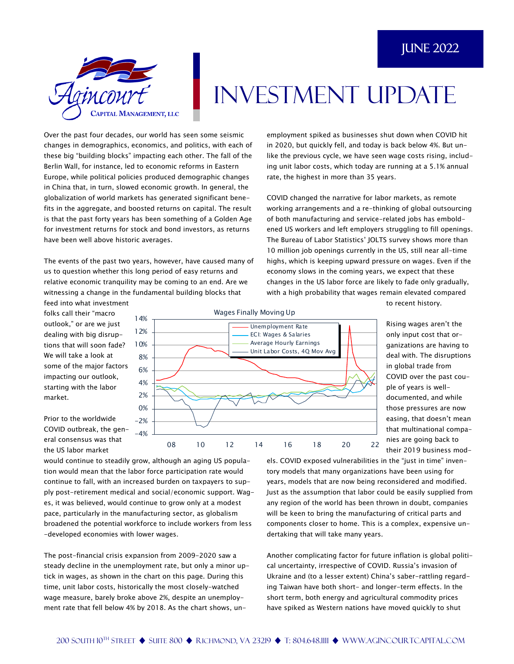

## INVESTMENT UPDATE

Over the past four decades, our world has seen some seismic changes in demographics, economics, and politics, with each of these big "building blocks" impacting each other. The fall of the Berlin Wall, for instance, led to economic reforms in Eastern Europe, while political policies produced demographic changes in China that, in turn, slowed economic growth. In general, the globalization of world markets has generated significant benefits in the aggregate, and boosted returns on capital. The result is that the past forty years has been something of a Golden Age for investment returns for stock and bond investors, as returns have been well above historic averages.

The events of the past two years, however, have caused many of us to question whether this long period of easy returns and relative economic tranquility may be coming to an end. Are we witnessing a change in the fundamental building blocks that

feed into what investment folks call their "macro outlook," or are we just dealing with big disruptions that will soon fade? We will take a look at some of the major factors impacting our outlook, starting with the labor market.

Prior to the worldwide COVID outbreak, the general consensus was that the US labor market



employment spiked as businesses shut down when COVID hit in 2020, but quickly fell, and today is back below 4%. But unlike the previous cycle, we have seen wage costs rising, including unit labor costs, which today are running at a 5.1% annual rate, the highest in more than 35 years.

COVID changed the narrative for labor markets, as remote working arrangements and a re-thinking of global outsourcing of both manufacturing and service-related jobs has emboldened US workers and left employers struggling to fill openings. The Bureau of Labor Statistics' JOLTS survey shows more than 10 million job openings currently in the US, still near all-time highs, which is keeping upward pressure on wages. Even if the economy slows in the coming years, we expect that these changes in the US labor force are likely to fade only gradually, with a high probability that wages remain elevated compared

> Rising wages aren't the only input cost that organizations are having to deal with. The disruptions in global trade from COVID over the past couple of years is welldocumented, and while those pressures are now easing, that doesn't mean that multinational companies are going back to

to recent history.

their 2019 business mod-

would continue to steadily grow, although an aging US population would mean that the labor force participation rate would continue to fall, with an increased burden on taxpayers to supply post-retirement medical and social/economic support. Wages, it was believed, would continue to grow only at a modest pace, particularly in the manufacturing sector, as globalism broadened the potential workforce to include workers from less -developed economies with lower wages.

The post-financial crisis expansion from 2009-2020 saw a steady decline in the unemployment rate, but only a minor uptick in wages, as shown in the chart on this page. During this time, unit labor costs, historically the most closely-watched wage measure, barely broke above 2%, despite an unemployment rate that fell below 4% by 2018. As the chart shows, un-

els. COVID exposed vulnerabilities in the "just in time" inventory models that many organizations have been using for years, models that are now being reconsidered and modified. Just as the assumption that labor could be easily supplied from any region of the world has been thrown in doubt, companies will be keen to bring the manufacturing of critical parts and components closer to home. This is a complex, expensive undertaking that will take many years.

Another complicating factor for future inflation is global political uncertainty, irrespective of COVID. Russia's invasion of Ukraine and (to a lesser extent) China's saber-rattling regarding Taiwan have both short- and longer-term effects. In the short term, both energy and agricultural commodity prices have spiked as Western nations have moved quickly to shut